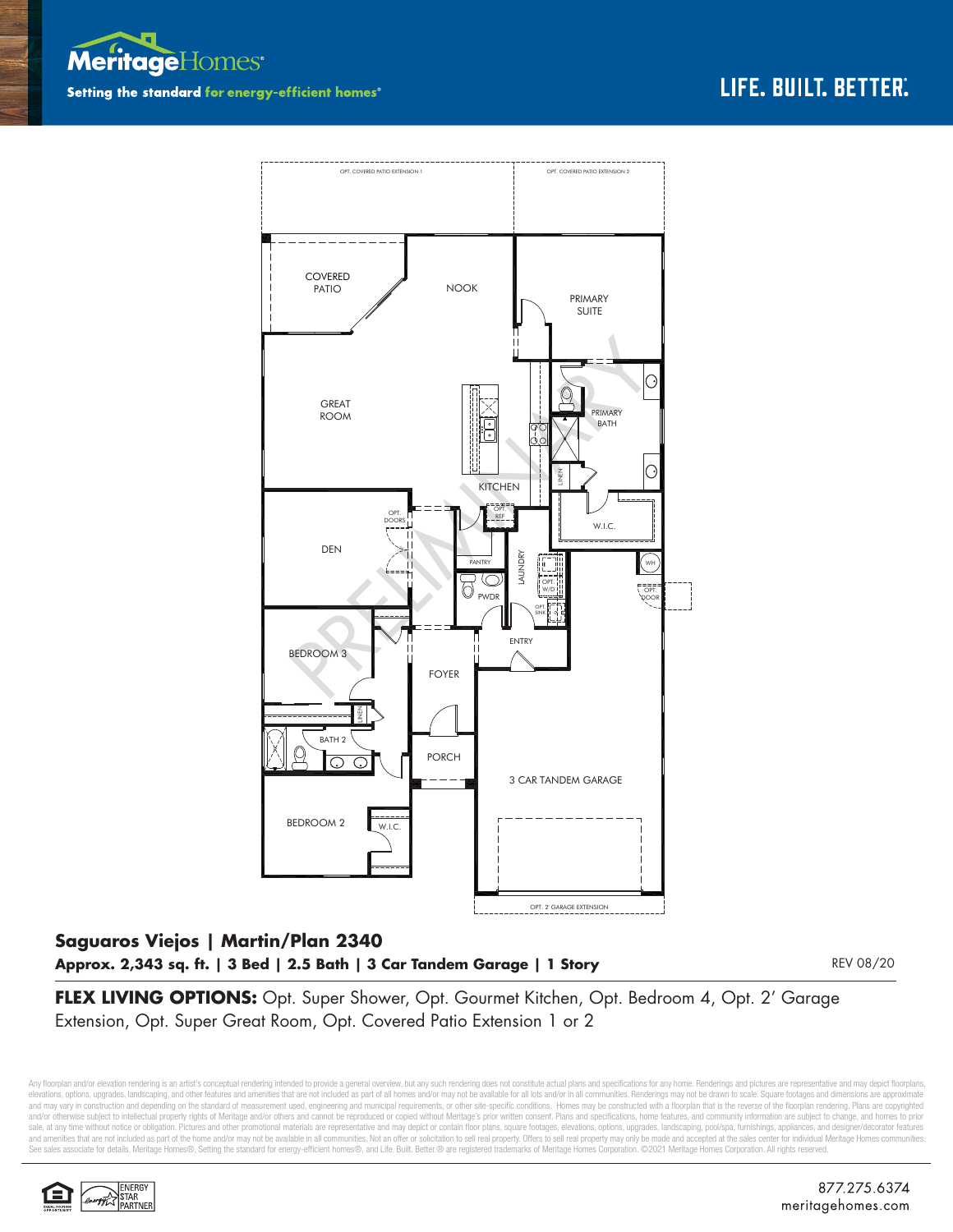



## **Saguaros Viejos | Martin/Plan 2340 Approx. 2,343 sq. ft. | 3 Bed | 2.5 Bath | 3 Car Tandem Garage | 1 Story**

REV 08/20

**FLEX LIVING OPTIONS:** Opt. Super Shower, Opt. Gourmet Kitchen, Opt. Bedroom 4, Opt. 2' Garage Extension, Opt. Super Great Room, Opt. Covered Patio Extension 1 or 2

Any floorplan and/or elevation rendering is an artist's conceptual rendering intended to provide a general overview, but any such rendering does not constitute actual plans and specifications for any home. Renderings and p elevations, options, upgrades, landscaping, and other features and amenities that are not included as part of all homes and/or may not be available for all lots and/or in all communities. Renderings may not be drawn to sca and may vary in construction and depending on the standard of measurement used, engineering and municipal requirements, or other site-specific conditions. Homes may be constructed with a floorplan that is the reverse of th and/or otherwise subject to intellectual property rights of Meritage and/or others and cannot be reproduced or copied without Meritage's prior written consent. Plans and specifications, home features, and community informa sale, at any time without notice or obligation. Pictures and other promotional materials are representative and may depict or contain floor plans, square footages, elevations, options, upgrades, landscaping, pool/spa, furn See sales associate for details. Meritage Homes®, Setting the standard for energy-efficient homes®, and Life. Built. Better.® are registered trademarks of Meritage Homes Corporation. ©2021 Meritage Homes Corporation. All r